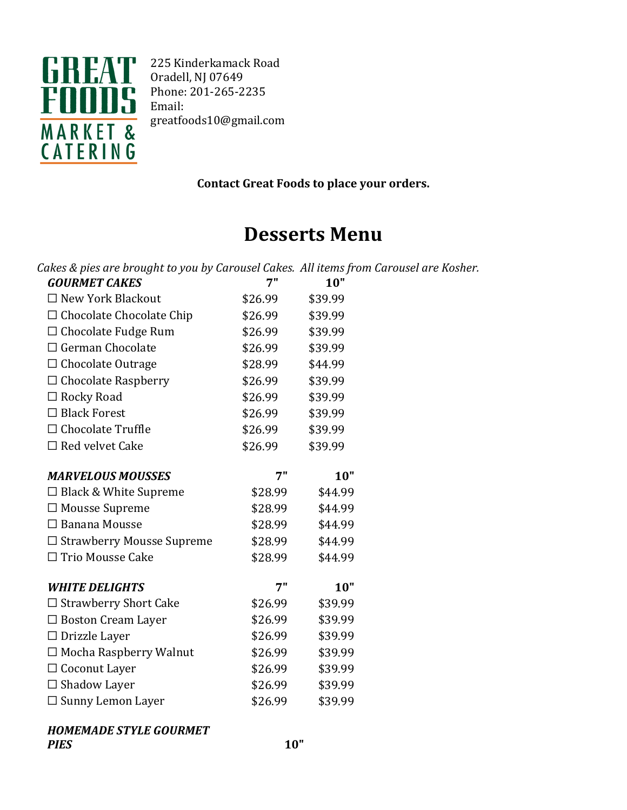

225 Kinderkamack Road Oradell, NJ 07649 Phone: 201-265-2235 Email: greatfoods10@gmail.com

**Contact Great Foods to place your orders.**

# **Desserts Menu**

| Cakes & pies are brought to you by Carousel Cakes. All items from Carousel are Kosher. |         |         |  |
|----------------------------------------------------------------------------------------|---------|---------|--|
| <b>GOURMET CAKES</b>                                                                   | 7"      | 10"     |  |
| $\Box$ New York Blackout                                                               | \$26.99 | \$39.99 |  |
| $\Box$ Chocolate Chocolate Chip                                                        | \$26.99 | \$39.99 |  |
| $\Box$ Chocolate Fudge Rum                                                             | \$26.99 | \$39.99 |  |
| $\Box$ German Chocolate                                                                | \$26.99 | \$39.99 |  |
| □ Chocolate Outrage                                                                    | \$28.99 | \$44.99 |  |
| $\Box$ Chocolate Raspberry                                                             | \$26.99 | \$39.99 |  |
| $\Box$ Rocky Road                                                                      | \$26.99 | \$39.99 |  |
| $\Box$ Black Forest                                                                    | \$26.99 | \$39.99 |  |
| $\Box$ Chocolate Truffle                                                               | \$26.99 | \$39.99 |  |
| $\Box$ Red velvet Cake                                                                 | \$26.99 | \$39.99 |  |
|                                                                                        |         |         |  |
| <b>MARVELOUS MOUSSES</b>                                                               | 7"      | 10"     |  |
| $\Box$ Black & White Supreme                                                           | \$28.99 | \$44.99 |  |
| $\Box$ Mousse Supreme                                                                  | \$28.99 | \$44.99 |  |
| $\Box$ Banana Mousse                                                                   | \$28.99 | \$44.99 |  |
| $\Box$ Strawberry Mousse Supreme                                                       | \$28.99 | \$44.99 |  |
| □ Trio Mousse Cake                                                                     | \$28.99 | \$44.99 |  |
|                                                                                        |         |         |  |
| <b>WHITE DELIGHTS</b>                                                                  | 7"      | 10"     |  |
| $\Box$ Strawberry Short Cake                                                           | \$26.99 | \$39.99 |  |
| $\Box$ Boston Cream Layer                                                              | \$26.99 | \$39.99 |  |
| $\Box$ Drizzle Layer                                                                   | \$26.99 | \$39.99 |  |
| $\Box$ Mocha Raspberry Walnut                                                          | \$26.99 | \$39.99 |  |
| □ Coconut Layer                                                                        | \$26.99 | \$39.99 |  |
| $\Box$ Shadow Layer                                                                    | \$26.99 | \$39.99 |  |
| $\square$ Sunny Lemon Layer                                                            | \$26.99 | \$39.99 |  |

### **HOMEMADE STYLE GOURMET** *PIES* **10"**